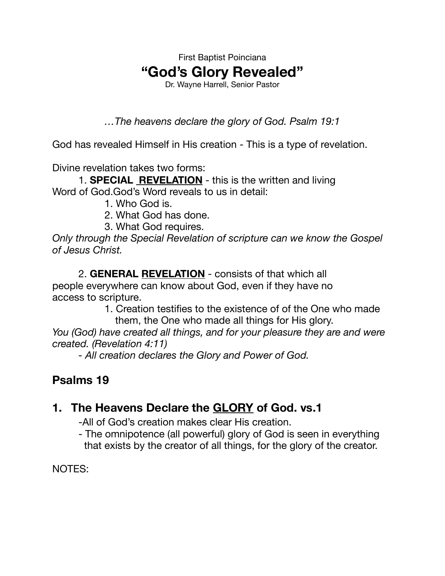First Baptist Poinciana **"God's Glory Revealed"** 

Dr. Wayne Harrell, Senior Pastor

*…The heavens declare the glory of God. Psalm 19:1* 

God has revealed Himself in His creation - This is a type of revelation.

Divine revelation takes two forms:

1. **SPECIAL REVELATION** - this is the written and living Word of God.God's Word reveals to us in detail:

- 1. Who God is.
- 2. What God has done.
- 3. What God requires.

*Only through the Special Revelation of scripture can we know the Gospel of Jesus Christ.*

2. **GENERAL REVELATION** - consists of that which all people everywhere can know about God, even if they have no access to scripture.

 1. Creation testifies to the existence of of the One who made them, the One who made all things for His glory.

*You (God) have created all things, and for your pleasure they are and were created. (Revelation 4:11)* 

*- All creation declares the Glory and Power of God.* 

# **Psalms 19**

## **1. The Heavens Declare the GLORY of God. vs.1**

-All of God's creation makes clear His creation.

- The omnipotence (all powerful) glory of God is seen in everything that exists by the creator of all things, for the glory of the creator.

NOTES: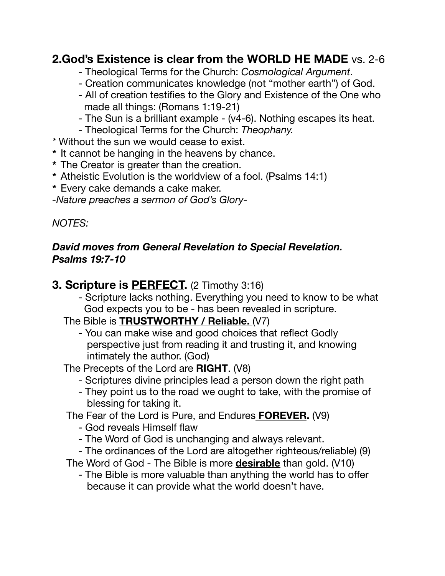## **2.God's Existence is clear from the WORLD HE MADE** vs. 2-6

- Theological Terms for the Church: *Cosmological Argument*.
- Creation communicates knowledge (not "mother earth") of God.
- All of creation testifies to the Glory and Existence of the One who made all things: (Romans 1:19-21)
- The Sun is a brilliant example (v4-6). Nothing escapes its heat.
- Theological Terms for the Church: *Theophany.*
- *\** Without the sun we would cease to exist.
- **\*** It cannot be hanging in the heavens by chance.
- **\*** The Creator is greater than the creation.
- **\*** Atheistic Evolution is the worldview of a fool. (Psalms 14:1)
- **\*** Every cake demands a cake maker.

*-Nature preaches a sermon of God's Glory-*

### *NOTES:*

### *David moves from General Revelation to Special Revelation. Psalms 19:7-10*

## **3. Scripture is PERFECT.** (2 Timothy 3:16)

- Scripture lacks nothing. Everything you need to know to be what God expects you to be - has been revealed in scripture.

### The Bible is **TRUSTWORTHY / Reliable.** (V7)

- You can make wise and good choices that reflect Godly perspective just from reading it and trusting it, and knowing intimately the author. (God)

The Precepts of the Lord are **RIGHT**. (V8)

- Scriptures divine principles lead a person down the right path
- They point us to the road we ought to take, with the promise of blessing for taking it.

The Fear of the Lord is Pure, and Endures **FOREVER.** (V9)

- God reveals Himself flaw
- The Word of God is unchanging and always relevant.
- The ordinances of the Lord are altogether righteous/reliable) (9)
- The Word of God The Bible is more **desirable** than gold. (V10)
	- The Bible is more valuable than anything the world has to offer because it can provide what the world doesn't have.